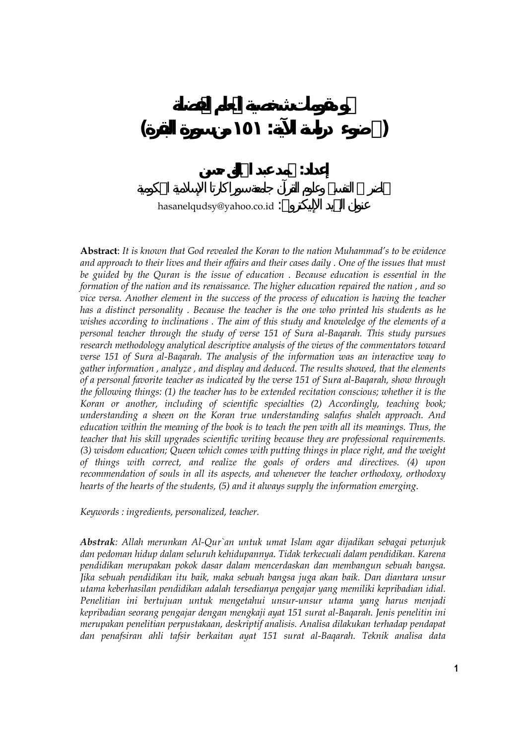## hasanelqudsy@yahoo.co.id :

**( ضوء دراسة الآية: ١٥١ من سورة البقرة)** 

**إعداد: محمد عبد الخالق حسن** 

**Abstract**: *It is known that God revealed the Koran to the nation Muhammad's to be evidence and approach to their lives and their affairs and their cases daily . One of the issues that must be guided by the Quran is the issue of education . Because education is essential in the formation of the nation and its renaissance. The higher education repaired the nation , and so vice versa. Another element in the success of the process of education is having the teacher has a distinct personality . Because the teacher is the one who printed his students as he wishes according to inclinations . The aim of this study and knowledge of the elements of a personal teacher through the study of verse 151 of Sura al-Baqarah. This study pursues research methodology analytical descriptive analysis of the views of the commentators toward verse 151 of Sura al-Baqarah. The analysis of the information was an interactive way to gather information , analyze , and display and deduced. The results showed, that the elements of a personal favorite teacher as indicated by the verse 151 of Sura al-Baqarah, show through the following things: (1) the teacher has to be extended recitation conscious; whether it is the Koran or another, including of scientific specialties (2) Accordingly, teaching book; understanding a sheen on the Koran true understanding salafus shaleh approach. And education within the meaning of the book is to teach the pen with all its meanings. Thus, the teacher that his skill upgrades scientific writing because they are professional requirements. (3) wisdom education; Queen which comes with putting things in place right, and the weight of things with correct, and realize the goals of orders and directives. (4) upon recommendation of souls in all its aspects, and whenever the teacher orthodoxy, orthodoxy hearts of the hearts of the students, (5) and it always supply the information emerging*.

*Keywords : ingredients, personalized, teacher.* 

*Abstrak: Allah merunkan Al-Qur`an untuk umat Islam agar dijadikan sebagai petunjuk dan pedoman hidup dalam seluruh kehidupannya. Tidak terkecuali dalam pendidikan. Karena pendidikan merupakan pokok dasar dalam mencerdaskan dan membangun sebuah bangsa. Jika sebuah pendidikan itu baik, maka sebuah bangsa juga akan baik. Dan diantara unsur utama keberhasilan pendidikan adalah tersedianya pengajar yang memiliki kepribadian idial. Penelitian ini bertujuan untuk mengetahui unsur-unsur utama yang harus menjadi kepribadian seorang pengajar dengan mengkaji ayat 151 surat al-Baqarah. Jenis penelitin ini merupakan penelitian perpustakaan, deskriptif analisis. Analisa dilakukan terhadap pendapat dan penafsiran ahli tafsir berkaitan ayat 151 surat al-Baqarah. Teknik analisa data*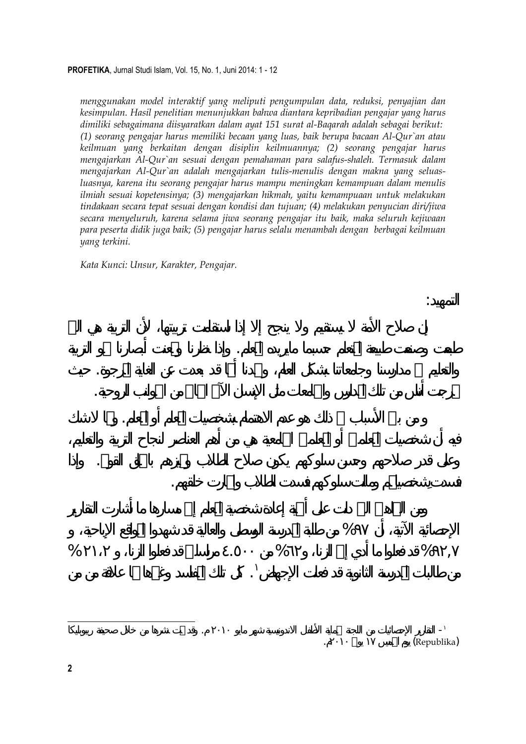*menggunakan model interaktif yang meliputi pengumpulan data, reduksi, penyajian dan kesimpulan. Hasil penelitian menunjukkan bahwa diantara kepribadian pengajar yang harus dimiliki sebagaimana diisyaratkan dalam ayat 151 surat al-Baqarah adalah sebagai berikut: (1) seorang pengajar harus memiliki becaan yang luas, baik berupa bacaan Al-Qur`an atau keilmuan yang berkaitan dengan disiplin keilmuannya; (2) seorang pengajar harus mengajarkan Al-Qur`an sesuai dengan pemahaman para salafus-shaleh. Termasuk dalam mengajarkan Al-Qur`an adalah mengajarkan tulis-menulis dengan makna yang seluasluasnya, karena itu seorang pengajar harus mampu meningkan kemampuan dalam menulis ilmiah sesuai kopetensinya; (3) mengajarkan hikmah, yaitu kemampuaan untuk melakukan tindakaan secara tepat sesuai dengan kondisi dan tujuan; (4) melakukan penyucian diri/jiwa secara menyeluruh, karena selama jiwa seorang pengajar itu baik, maka seluruh kejiwaan para peserta didik juga baik; (5) pengajar harus selalu menambah dengan berbagai keilmuan yang terkini.* 

طبعت وصنعت طبيعة المتعلم حسبما مايريده المعلم. وإذا نظرنا وتمعنت أبصارنا نحو التربية

والتعليم مدارسنا وجامعاتنا بشكل العام، ولجدنا أا قد بعدت عن الغاية المرجوة. حيث

وعلى قدر صلاحهم وحس سلوكهم يكون صلاح الطلاب وتميزهم بالخلق القويم. وإذا

من طالبات المدرسة الثانوية قد فعلت الإجهاض . كل تلك المفاسد وغيرها لها علاقة من من

من بين الأسباب ذلك هو عدم الاهتمام بشخصيات المعلم أو المعلم. ومم شك

تخرجت أناس من تلك المدارس والجامعات مثل الإنسان الآلى الخالي من الجوانب الروحية.

*Kata Kunci: Unsur, Karakter, Pengajar.*

 $\%$ 

فسدتِشخصيام ومالت سلوكهم فسدت الطلاب واارت خلقهم.

 $\%$  ,  $\%$  ,  $\%$ 

التمهيد:

- التقارير الإحصائيات من اللجنة لحماية الأطفال الاندونيسية شهر مايو ٢٠١٠ . وقد تمت نشرها من خلال صحيفة ريبوبليكا (Republika)

**2**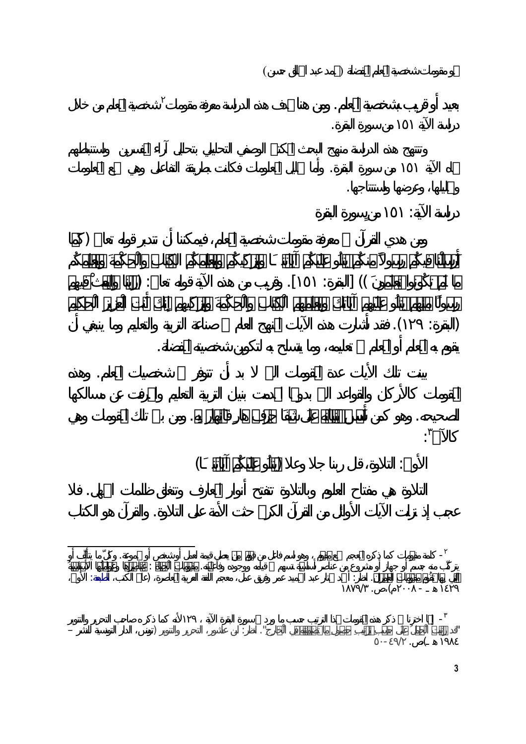

 $($   $)$ 

**3**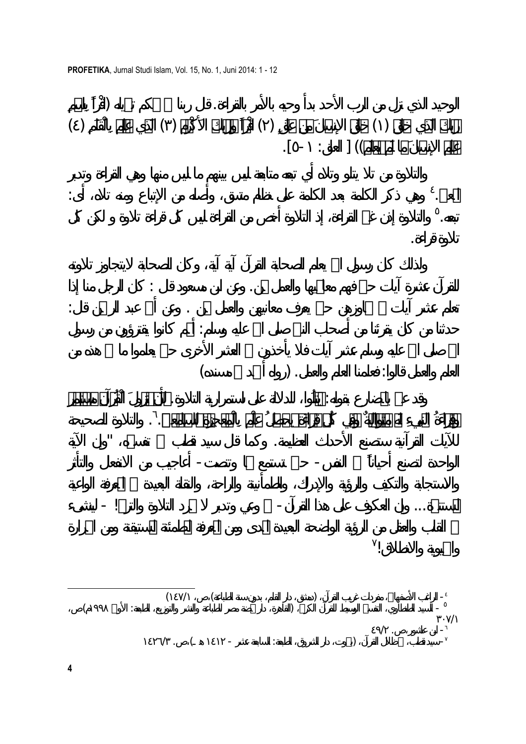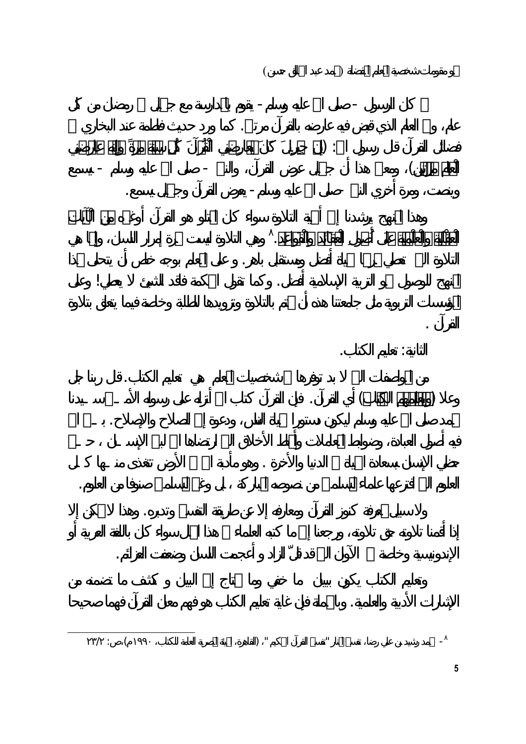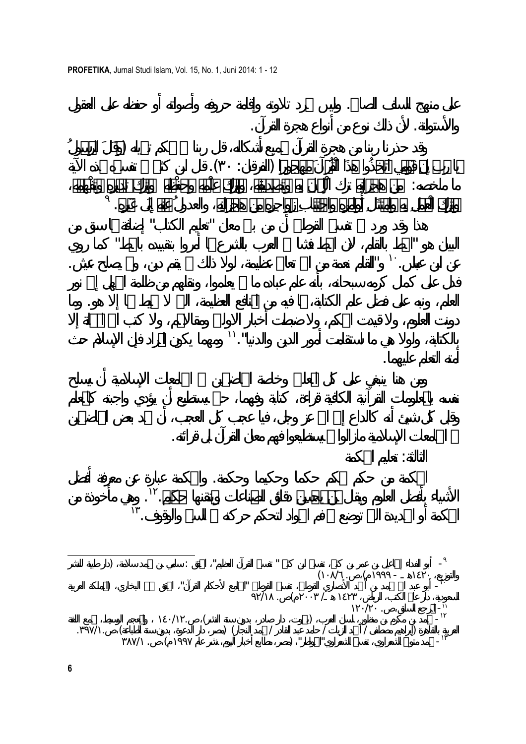

على منهج السلف الصالح. وليس مجرد تلاوته وإقامة حروفه وأصواته أو حفظه على العقول

والأستوانة. لأن ذلك نوع من أنواع هجرة القرآن.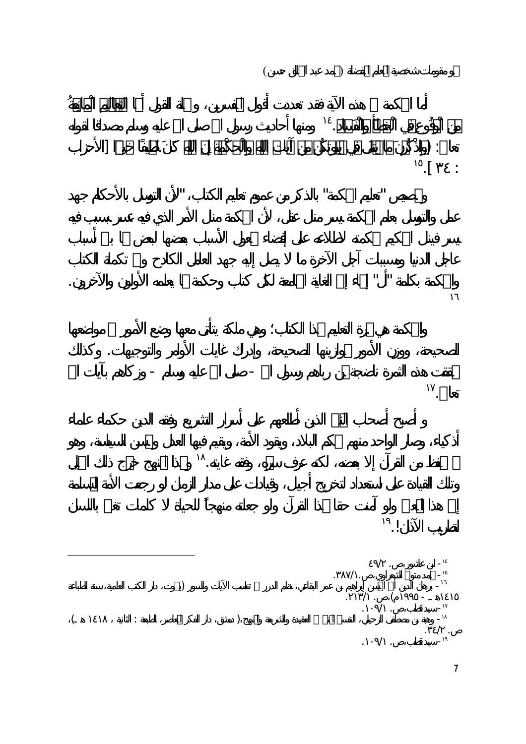

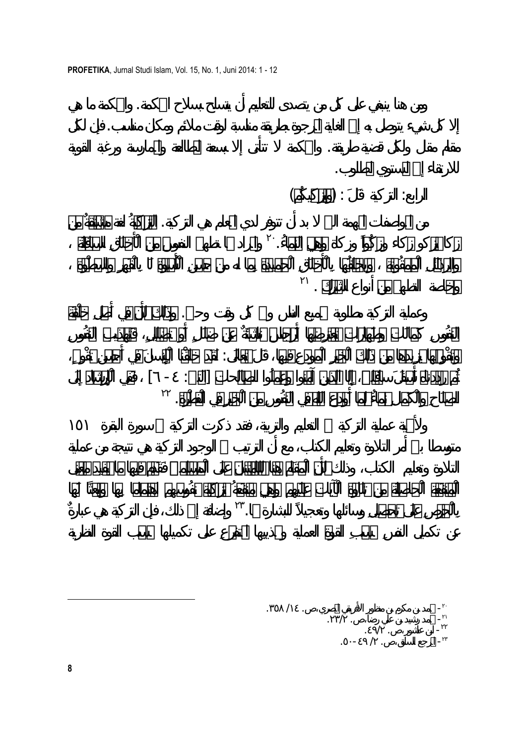**PROFETIKA**, Jurnal Studi Islam, Vol. 15, No. 1, Juni 2014: 1 - 12

ومن هنا ينبغي على كل من يتصدى للتعليم أن يتسلح بسلاح الحكمة. والحكمة ما هي

من المواصفات المهمة التي بد أن تتوفر لدي المعلم هي التزكية. التزكيةُ لغة مشتقَّةٌ من والمراد ا تطهير النفوس من الْأَخلَاقِ السافلَة <sup>٢٠</sup> زكا يزكو زكاء وزكُواً وزكاة وهي النماء.ُ <sup>٢١</sup> وخاصة التطهير من أنواع الشرك . وعملية التزكية مطلوبة لجميع الناس وفي كل وقت وحين. وذَلك لأَنَّ في أَصلِ خلْقَة وتقْوِيمها يزِيدها من ذَلك الْخيرِ الْمودعِ فيها، قَالَ تعالَى: لَقَد خلَقْنا الْإِنسانَ في أَحسنِ تقْوِيمٍ، ثُم رددناه أَسفَلَ سافلين، إِلَّا الَّذين آمنوا وعملُوا الصالحات] التين: - ] فَفي الْإِرشاد إِلَى <sup>٢٢</sup> الصلَاحِ والْكَمالِ نماءٌ لما أَودع اللَّه في النفُوسِ من الْخيرِ في الْفطْرة. وإضافة إلى ذلك، فإن التزكية هي عبارةٌ <sup>٢٣</sup> بِالْحرصِ علَى تحصيلِ وسائلها وتعجيلاً للبشارة ا. - محمد بن مكرم بن منظور الأفريقي المصري . /١٤ .<sup>٣٥٨</sup> <sup>٢٠</sup> - محمد رشيد بن علي رضا، . .٢٣/ <sup>٢١</sup>

إلا كل شيء يتوصل به إلى الغاية المرجوة بطريقة مناسبة لوقت ملائم ومكان مناسب. فإن لكل

مقام مقال ولكل قضية طريقة. والحكمة تتأتى إلا بسعة المطالعة والممارسة ورغبة القوية

 $-$ - المرجع السابق، . / -٤٩ .٥٠ <sup>٢٣</sup>

للارتقاء إلى المستوي المطلوب.

 $($   $)$  :  $)$  :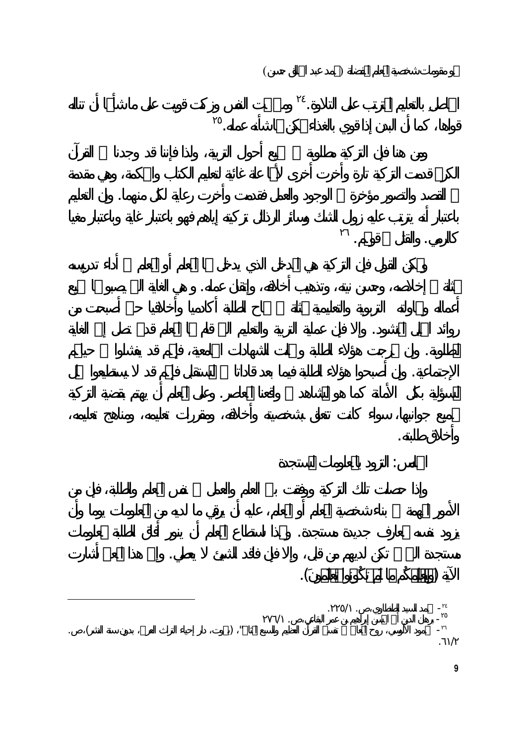













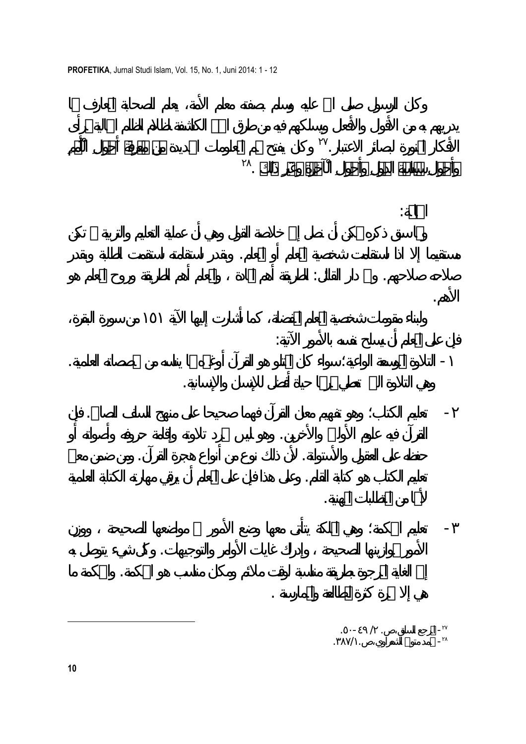**PROFETIKA**, Jurnal Studi Islam, Vol. 15, No. 1, Juni 2014: 1 - 12

وكان يفتح لهم المعلومات الجديدة من معرِفَة أَحوالِ الْأُممِ <sup>٢٧</sup> الأفكار المنورة لبصائر الاعتبار.

مستقيما إلا اذا استقامت شخصية المعلم أو المعلم. وبقدر استقامته استقمت الطلبة وبقدر

صلاحه صلاحهم. والله دار القائل: الطريقة أه المادة والمعلم أهم الطريقة وروح المعلم هو

- التلاوة الموسعة الواعية؛ سواء كان المتلو هو القرآن أوغيره بما يناسه من تخصصاته العلمية.

- تعليم الكتاب؛ وهو تفهيم معان القرآن فهما صحيحا على منهج السلف الصالح. فإن

القرآن فيه علوم الأولين والأخرين. وهو ليس مجرد تلاوته وإقامة حروفه وأصواته أو

حفظه على العقول والأستوانة. لأن ذلك نوع من أنواع هجرة القرآن. ومن ضمن معنى

تعليم الكتاب هو كتابة القلم. وعلى هذا فإن على المعلم أن يرقي مهارته الكتابة العلمية

الأمور بموازينها الصحيحة وإدراك غايات الأوامر والتوجيهات. كل شيء يتوصل به

إلى الغاية المرجوة بطريقة مناسبة لوقت ملائم ومكان مناسب هو الحكمة. والحكمة ما

- تعليم الحكمة؛ وهي الملكة يتأتى معها وضع الأمور مواضعها الصحيحة ووزن

هي التلاوة التي تعطي ثمرا حياة أفضل للإنسان والإنسانية.

<sup>٢٨</sup> وأَحوالِ سياسة الدولِ وأَحوالِ الْآخرة وغَيرِ ذَلك .

فإن على المعلم أن يسلح نفسه بالأمور الآتية:

لأا من المتطلبات المهنية.

هي إلا ثمرة كثرة المطالعة والممارسة .

الخاتمة:

الأهم.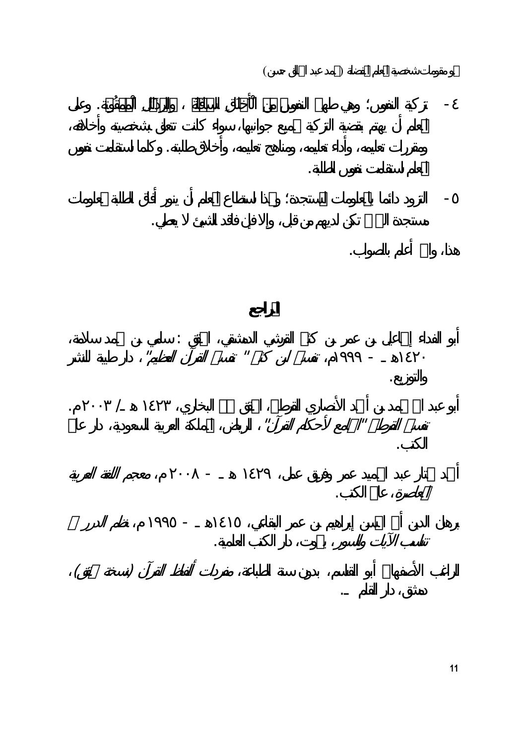نحو مقومات شخصية المعلم المفضلة (محمد عبد الخالق حسن) - تزكية النفوس؛ وهي طهير النفوس من الْأَخلَاقِ السافلَة والرذَائلِ الْممقُوتة. وعلى ومقررات تعليمه، وأداء تعليمه، ومناهج تعليمه، وأخلاق طلبته. وكلما استقامت نفوس المعلم استقامت نفوس الطلبة. - التزود دائما بالمعلومات المستجدة؛ وذا استطاع المعلم أن ينور أفاق الطلبة بمعلومات مستجدة التي تكن لديهم من قبل، وإلا فإن فاقد الشيئ يعطي. هذا، واالله أعلم بالصواب. أبو الفداء إسماعيل بن عمر بن كثير القرشي الدمشقي، المحقق : سامي بن محمد سلامة،  $\| \cdot \|$ والتوزيع.  $\mathcal{N}$  and  $\mathcal{N}$  are the set of  $\mathcal{N}$  and  $\mathcal{N}$  are  $\mathcal{N}$  . In this set of  $\mathcal{N}$  and  $\mathcal{N}$  are the set of  $\mathcal{N}$  $\| u \|$ الكتب. أحمد مختار عبد الحميد عمر وفريق عمل، ١٤٢٩ هـ - ٢٠٠٨ م، معجم اللغة العربية عالم الكتب. برهان الدين أبي الحسن إبراهيم بن عمر البقاعي، ١٤١٥هـ - ١٩٩٥ م، نظم الدرر تناسب الآيات والسور بيروت، دار الكتب العلمية. الراغب الأصفهاني أبو القاسم، بدون سنة الطباعة، مفردات ألفاظ القرآن (نسخة محقق) دمشق، دار القلم .